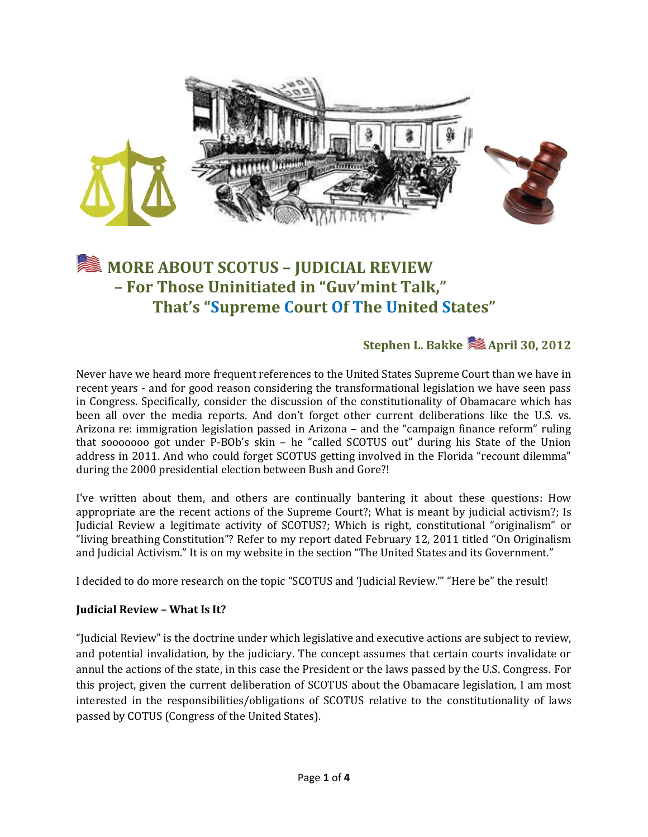

# **MORE ABOUT SCOTUS – JUDICIAL REVIEW – For Those Uninitiated in "Guv'mint Talk," That's "Supreme Court Of The United States"**

## **Stephen L. Bakke & April 30, 2012**

Never have we heard more frequent references to the United States Supreme Court than we have in recent years - and for good reason considering the transformational legislation we have seen pass in Congress. Specifically, consider the discussion of the constitutionality of Obamacare which has been all over the media reports. And don't forget other current deliberations like the U.S. vs. Arizona re: immigration legislation passed in Arizona – and the "campaign finance reform" ruling that sooooooo got under P-BOb's skin – he "called SCOTUS out" during his State of the Union address in 2011. And who could forget SCOTUS getting involved in the Florida "recount dilemma" during the 2000 presidential election between Bush and Gore?!

I've written about them, and others are continually bantering it about these questions: How appropriate are the recent actions of the Supreme Court?; What is meant by judicial activism?; Is Judicial Review a legitimate activity of SCOTUS?; Which is right, constitutional "originalism" or "living breathing Constitution"? Refer to my report dated February 12, 2011 titled "On Originalism and Judicial Activism." It is on my website in the section "The United States and its Government."

I decided to do more research on the topic "SCOTUS and 'Judicial Review.'" "Here be" the result!

#### **Judicial Review – What Is It?**

"Judicial Review" is the doctrine under which legislative and executive actions are subject to review, and potential invalidation, by the judiciary. The concept assumes that certain courts invalidate or annul the actions of the state, in this case the President or the laws passed by the U.S. Congress. For this project, given the current deliberation of SCOTUS about the Obamacare legislation, I am most interested in the responsibilities/obligations of SCOTUS relative to the constitutionality of laws passed by COTUS (Congress of the United States).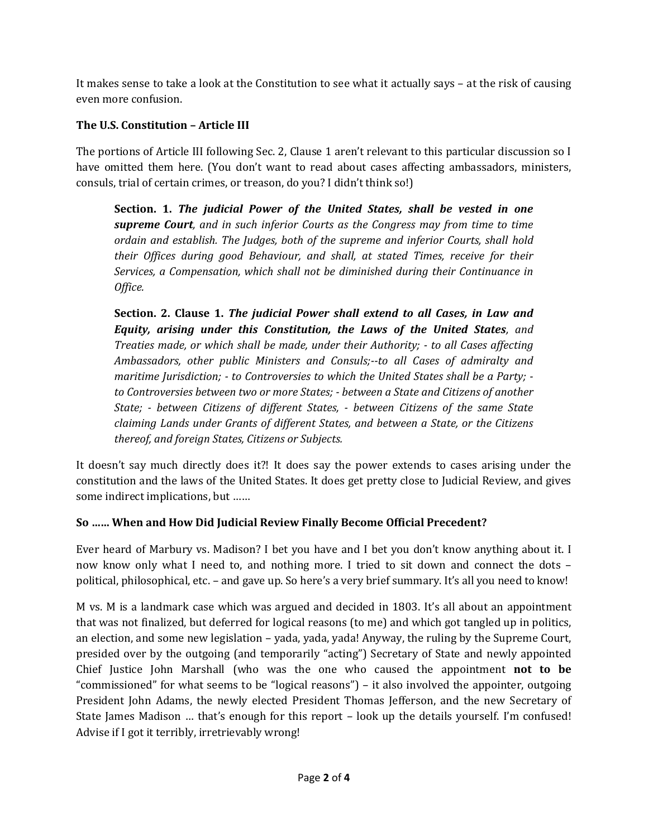It makes sense to take a look at the Constitution to see what it actually says – at the risk of causing even more confusion.

### **The U.S. Constitution – Article III**

The portions of Article III following Sec. 2, Clause 1 aren't relevant to this particular discussion so I have omitted them here. (You don't want to read about cases affecting ambassadors, ministers, consuls, trial of certain crimes, or treason, do you? I didn't think so!)

**Section. 1.** *The judicial Power of the United States, shall be vested in one supreme Court, and in such inferior Courts as the Congress may from time to time ordain and establish. The Judges, both of the supreme and inferior Courts, shall hold their Offices during good Behaviour, and shall, at stated Times, receive for their Services, a Compensation, which shall not be diminished during their Continuance in Office.* 

**Section. 2. Clause 1.** *The judicial Power shall extend to all Cases, in Law and Equity, arising under this Constitution, the Laws of the United States, and Treaties made, or which shall be made, under their Authority; - to all Cases affecting Ambassadors, other public Ministers and Consuls;--to all Cases of admiralty and maritime Jurisdiction; - to Controversies to which the United States shall be a Party; to Controversies between two or more States; - between a State and Citizens of another State; - between Citizens of different States, - between Citizens of the same State claiming Lands under Grants of different States, and between a State, or the Citizens thereof, and foreign States, Citizens or Subjects.*

It doesn't say much directly does it?! It does say the power extends to cases arising under the constitution and the laws of the United States. It does get pretty close to Judicial Review, and gives some indirect implications, but ……

#### **So …… When and How Did Judicial Review Finally Become Official Precedent?**

Ever heard of Marbury vs. Madison? I bet you have and I bet you don't know anything about it. I now know only what I need to, and nothing more. I tried to sit down and connect the dots – political, philosophical, etc. – and gave up. So here's a very brief summary. It's all you need to know!

M vs. M is a landmark case which was argued and decided in 1803. It's all about an appointment that was not finalized, but deferred for logical reasons (to me) and which got tangled up in politics, an election, and some new legislation – yada, yada, yada! Anyway, the ruling by the Supreme Court, presided over by the outgoing (and temporarily "acting") Secretary of State and newly appointed Chief Justice John Marshall (who was the one who caused the appointment **not to be** "commissioned" for what seems to be "logical reasons") – it also involved the appointer, outgoing President John Adams, the newly elected President Thomas Jefferson, and the new Secretary of State James Madison … that's enough for this report – look up the details yourself. I'm confused! Advise if I got it terribly, irretrievably wrong!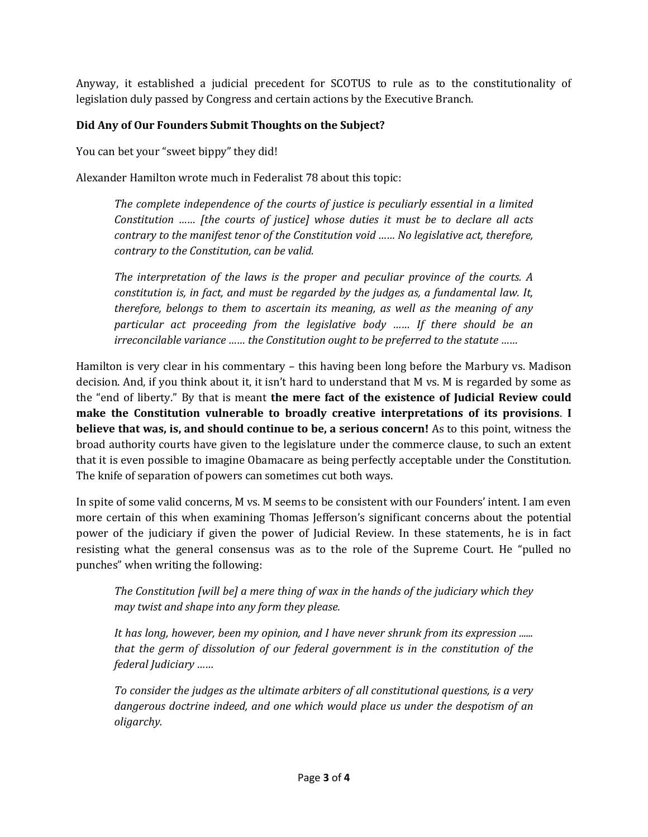Anyway, it established a judicial precedent for SCOTUS to rule as to the constitutionality of legislation duly passed by Congress and certain actions by the Executive Branch.

#### **Did Any of Our Founders Submit Thoughts on the Subject?**

You can bet your "sweet bippy" they did!

Alexander Hamilton wrote much in Federalist 78 about this topic:

*The complete independence of the courts of justice is peculiarly essential in a limited Constitution …… [the courts of justice] whose duties it must be to declare all acts contrary to the manifest tenor of the Constitution void …… No legislative act, therefore, contrary to the Constitution, can be valid.*

*The interpretation of the laws is the proper and peculiar province of the courts. A constitution is, in fact, and must be regarded by the judges as, a fundamental law. It, therefore, belongs to them to ascertain its meaning, as well as the meaning of any particular act proceeding from the legislative body …… If there should be an irreconcilable variance …… the Constitution ought to be preferred to the statute ……*

Hamilton is very clear in his commentary – this having been long before the Marbury vs. Madison decision. And, if you think about it, it isn't hard to understand that M vs. M is regarded by some as the "end of liberty." By that is meant **the mere fact of the existence of Judicial Review could make the Constitution vulnerable to broadly creative interpretations of its provisions**. **I believe that was, is, and should continue to be, a serious concern!** As to this point, witness the broad authority courts have given to the legislature under the commerce clause, to such an extent that it is even possible to imagine Obamacare as being perfectly acceptable under the Constitution. The knife of separation of powers can sometimes cut both ways.

In spite of some valid concerns, M vs. M seems to be consistent with our Founders' intent. I am even more certain of this when examining Thomas Jefferson's significant concerns about the potential power of the judiciary if given the power of Judicial Review. In these statements, he is in fact resisting what the general consensus was as to the role of the Supreme Court. He "pulled no punches" when writing the following:

*The Constitution [will be] a mere thing of wax in the hands of the judiciary which they may twist and shape into any form they please.*

*It has long, however, been my opinion, and I have never shrunk from its expression ...... that the germ of dissolution of our federal government is in the constitution of the federal Judiciary ……*

*To consider the judges as the ultimate arbiters of all constitutional questions, is a very dangerous doctrine indeed, and one which would place us under the despotism of an oligarchy.*